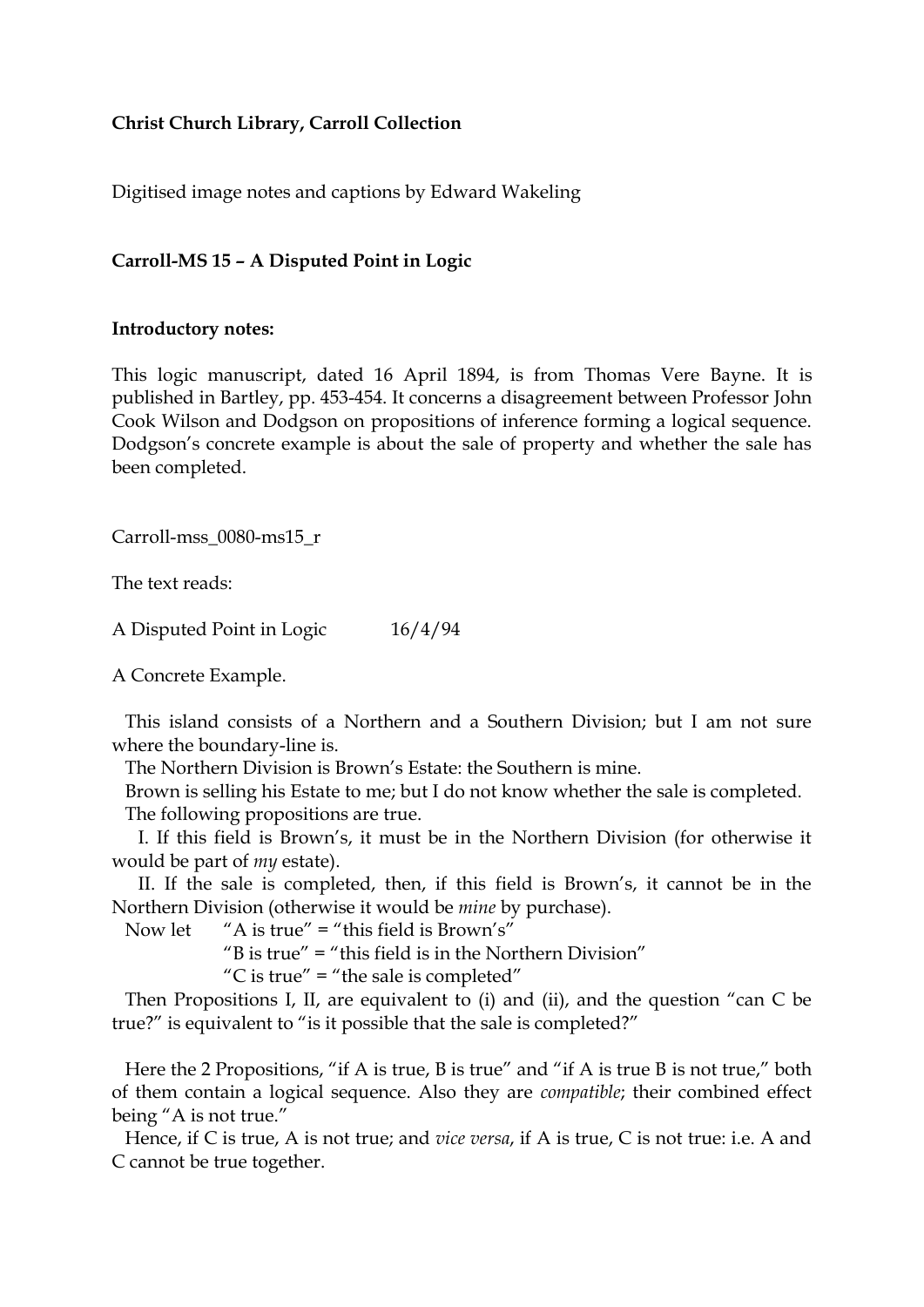## **Christ Church Library, Carroll Collection**

Digitised image notes and captions by Edward Wakeling

## **Carroll-MS 15 – A Disputed Point in Logic**

## **Introductory notes:**

This logic manuscript, dated 16 April 1894, is from Thomas Vere Bayne. It is published in Bartley, pp. 453-454. It concerns a disagreement between Professor John Cook Wilson and Dodgson on propositions of inference forming a logical sequence. Dodgson's concrete example is about the sale of property and whether the sale has been completed.

Carroll-mss\_0080-ms15\_r

The text reads:

A Disputed Point in Logic 16/4/94

A Concrete Example.

This island consists of a Northern and a Southern Division; but I am not sure where the boundary-line is.

The Northern Division is Brown's Estate: the Southern is mine.

Brown is selling his Estate to me; but I do not know whether the sale is completed. The following propositions are true.

I. If this field is Brown's, it must be in the Northern Division (for otherwise it would be part of *my* estate).

II. If the sale is completed, then, if this field is Brown's, it cannot be in the Northern Division (otherwise it would be *mine* by purchase).

Now let "A is true" = "this field is Brown's"

"B is true" = "this field is in the Northern Division"

"C is true" = "the sale is completed"

Then Propositions I, II, are equivalent to (i) and (ii), and the question "can C be true?" is equivalent to "is it possible that the sale is completed?"

Here the 2 Propositions, "if A is true, B is true" and "if A is true B is not true," both of them contain a logical sequence. Also they are *compatible*; their combined effect being "A is not true."

Hence, if C is true, A is not true; and *vice versa*, if A is true, C is not true: i.e. A and C cannot be true together.